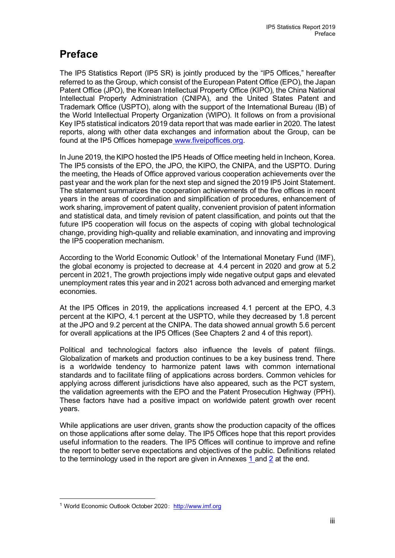## **Preface**

The IP5 Statistics Report (IP5 SR) is jointly produced by the "IP5 Offices," hereafter referred to as the Group, which consist of the European Patent Office (EPO), the Japan Patent Office (JPO), the Korean Intellectual Property Office (KIPO), the China National Intellectual Property Administration (CNIPA), and the United States Patent and Trademark Office (USPTO), along with the support of the International Bureau (IB) of the World Intellectual Property Organization (WIPO). It follows on from a provisional Key IP5 statistical indicators 2019 data report that was made earlier in 2020. The latest reports, along with other data exchanges and information about the Group, can be found at the IP5 Offices homepage [www.fiveipoffices.org.](http://www.fiveipoffices.org/)

In June 2019, the KIPO hosted the IP5 Heads of Office meeting held in Incheon, Korea. The IP5 consists of the EPO, the JPO, the KIPO, the CNIPA, and the USPTO. During the meeting, the Heads of Office approved various cooperation achievements over the past year and the work plan for the next step and signed the 2019 IP5 Joint Statement. The statement summarizes the cooperation achievements of the five offices in recent years in the areas of coordination and simplification of procedures, enhancement of work sharing, improvement of patent quality, convenient provision of patent information and statistical data, and timely revision of patent classification, and points out that the future IP5 cooperation will focus on the aspects of coping with global technological change, providing high-quality and reliable examination, and innovating and improving the IP5 cooperation mechanism.

According to the World Economic Outlook<sup>[1](#page-0-0)</sup> of the International Monetary Fund (IMF), the global economy is projected to decrease at 4.4 percent in 2020 and grow at 5.2 percent in 2021, The growth projections imply wide negative output gaps and elevated unemployment rates this year and in 2021 across both advanced and emerging market economies.

At the IP5 Offices in 2019, the applications increased 4.1 percent at the EPO, 4.3 percent at the KIPO, 4.1 percent at the USPTO, while they decreased by 1.8 percent at the JPO and 9.2 percent at the CNIPA. The data showed annual growth 5.6 percent for overall applications at the IP5 Offices (See Chapters 2 and 4 of this report).

Political and technological factors also influence the levels of patent filings. Globalization of markets and production continues to be a key business trend. There is a worldwide tendency to harmonize patent laws with common international standards and to facilitate filing of applications across borders. Common vehicles for applying across different jurisdictions have also appeared, such as the PCT system, the validation agreements with the EPO and the Patent Prosecution Highway (PPH). These factors have had a positive impact on worldwide patent growth over recent years.

While applications are user driven, grants show the production capacity of the offices on those applications after some delay. The IP5 Offices hope that this report provides useful information to the readers. The IP5 Offices will continue to improve and refine the report to better serve expectations and objectives of the public. Definitions related to the terminology used in the report are given in Annexes 1 and 2 at the end.

<span id="page-0-0"></span><sup>1</sup> World Economic Outlook October 2020: [http://www.imf.org](http://www.imf.org/)